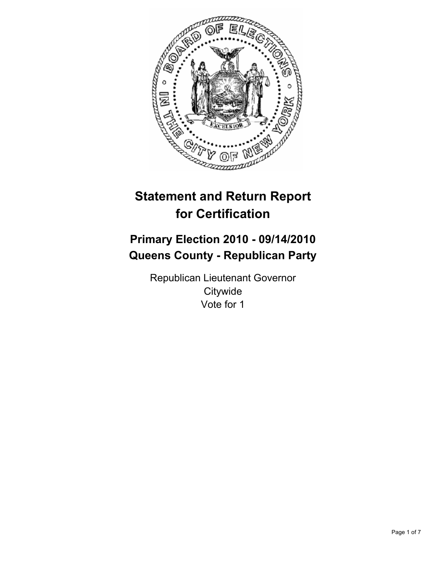

# **Statement and Return Report for Certification**

# **Primary Election 2010 - 09/14/2010 Queens County - Republican Party**

Republican Lieutenant Governor **Citywide** Vote for 1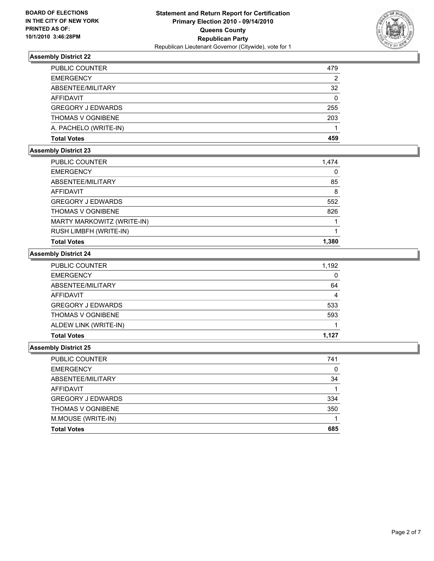

| PUBLIC COUNTER           | 479 |
|--------------------------|-----|
| <b>EMERGENCY</b>         | 2   |
| ABSENTEE/MILITARY        | 32  |
| <b>AFFIDAVIT</b>         | 0   |
| <b>GREGORY J EDWARDS</b> | 255 |
| <b>THOMAS V OGNIBENE</b> | 203 |
| A. PACHELO (WRITE-IN)    |     |
| <b>Total Votes</b>       | 459 |

# **Assembly District 23**

| PUBLIC COUNTER             | 1,474 |
|----------------------------|-------|
| <b>EMERGENCY</b>           | 0     |
| ABSENTEE/MILITARY          | 85    |
| <b>AFFIDAVIT</b>           | 8     |
| <b>GREGORY J EDWARDS</b>   | 552   |
| <b>THOMAS V OGNIBENE</b>   | 826   |
| MARTY MARKOWITZ (WRITE-IN) |       |
| RUSH LIMBFH (WRITE-IN)     |       |
| <b>Total Votes</b>         | 1.380 |

### **Assembly District 24**

| PUBLIC COUNTER           | 1,192 |
|--------------------------|-------|
| <b>EMERGENCY</b>         | 0     |
| ABSENTEE/MILITARY        | 64    |
| <b>AFFIDAVIT</b>         | 4     |
| <b>GREGORY J EDWARDS</b> | 533   |
| <b>THOMAS V OGNIBENE</b> | 593   |
| ALDEW LINK (WRITE-IN)    |       |
| <b>Total Votes</b>       | 1.127 |

| <b>PUBLIC COUNTER</b>    | 741 |
|--------------------------|-----|
| <b>EMERGENCY</b>         | 0   |
| ABSENTEE/MILITARY        | 34  |
| <b>AFFIDAVIT</b>         |     |
| <b>GREGORY J EDWARDS</b> | 334 |
| <b>THOMAS V OGNIBENE</b> | 350 |
| M.MOUSE (WRITE-IN)       |     |
| <b>Total Votes</b>       | 685 |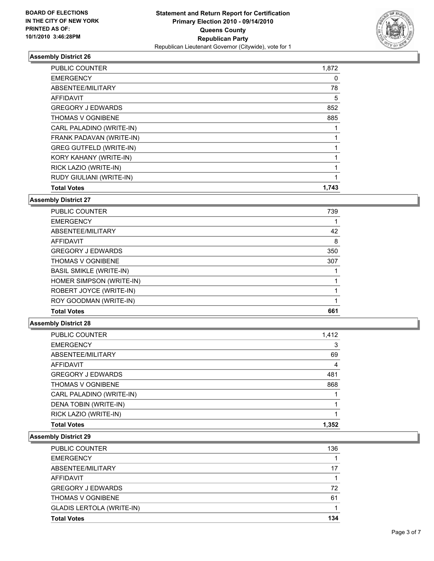

| <b>PUBLIC COUNTER</b>          | 1,872 |
|--------------------------------|-------|
| <b>EMERGENCY</b>               | 0     |
| ABSENTEE/MILITARY              | 78    |
| AFFIDAVIT                      | 5     |
| <b>GREGORY J EDWARDS</b>       | 852   |
| <b>THOMAS V OGNIBENE</b>       | 885   |
| CARL PALADINO (WRITE-IN)       |       |
| FRANK PADAVAN (WRITE-IN)       |       |
| <b>GREG GUTFELD (WRITE-IN)</b> |       |
| KORY KAHANY (WRITE-IN)         | 1     |
| RICK LAZIO (WRITE-IN)          | 1     |
| RUDY GIULIANI (WRITE-IN)       | 1     |
| <b>Total Votes</b>             | 1,743 |

#### **Assembly District 27**

| <b>PUBLIC COUNTER</b>          | 739 |
|--------------------------------|-----|
| <b>EMERGENCY</b>               |     |
| ABSENTEE/MILITARY              | 42  |
| <b>AFFIDAVIT</b>               | 8   |
| <b>GREGORY J EDWARDS</b>       | 350 |
| <b>THOMAS V OGNIBENE</b>       | 307 |
| <b>BASIL SMIKLE (WRITE-IN)</b> |     |
| HOMER SIMPSON (WRITE-IN)       |     |
| ROBERT JOYCE (WRITE-IN)        |     |
| ROY GOODMAN (WRITE-IN)         |     |
| <b>Total Votes</b>             | 661 |

### **Assembly District 28**

| <b>PUBLIC COUNTER</b>    | 1,412 |
|--------------------------|-------|
| <b>EMERGENCY</b>         | 3     |
| ABSENTEE/MILITARY        | 69    |
| AFFIDAVIT                | 4     |
| <b>GREGORY J EDWARDS</b> | 481   |
| <b>THOMAS V OGNIBENE</b> | 868   |
| CARL PALADINO (WRITE-IN) |       |
| DENA TOBIN (WRITE-IN)    |       |
| RICK LAZIO (WRITE-IN)    |       |
| <b>Total Votes</b>       | 1.352 |

| <b>PUBLIC COUNTER</b>            | 136 |
|----------------------------------|-----|
| <b>EMERGENCY</b>                 |     |
| ABSENTEE/MILITARY                | 17  |
| AFFIDAVIT                        |     |
| <b>GREGORY J EDWARDS</b>         | 72  |
| <b>THOMAS V OGNIBENE</b>         | 61  |
| <b>GLADIS LERTOLA (WRITE-IN)</b> |     |
| <b>Total Votes</b>               | 134 |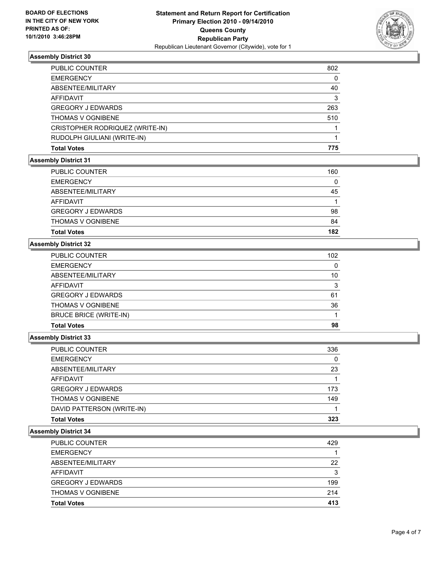

| <b>PUBLIC COUNTER</b>           | 802 |
|---------------------------------|-----|
| <b>EMERGENCY</b>                | 0   |
| ABSENTEE/MILITARY               | 40  |
| AFFIDAVIT                       | 3   |
| <b>GREGORY J EDWARDS</b>        | 263 |
| <b>THOMAS V OGNIBENE</b>        | 510 |
| CRISTOPHER RODRIQUEZ (WRITE-IN) |     |
| RUDOLPH GIULIANI (WRITE-IN)     |     |
| <b>Total Votes</b>              | 775 |
|                                 |     |

#### **Assembly District 31**

| <b>EMERGENCY</b>         | 0   |
|--------------------------|-----|
| ABSENTEE/MILITARY        | 45  |
| AFFIDAVIT                |     |
| <b>GREGORY J EDWARDS</b> | 98  |
| <b>THOMAS V OGNIBENE</b> | 84  |
| <b>Total Votes</b>       | 182 |

# **Assembly District 32**

| <b>Total Votes</b>       | 98  |
|--------------------------|-----|
| BRUCE BRICE (WRITE-IN)   |     |
| THOMAS V OGNIBENE        | 36  |
| <b>GREGORY J EDWARDS</b> | 61  |
| AFFIDAVIT                | 3   |
| ABSENTEE/MILITARY        | 10  |
| <b>EMERGENCY</b>         | 0   |
| <b>PUBLIC COUNTER</b>    | 102 |

#### **Assembly District 33**

| <b>Total Votes</b>         | 323 |
|----------------------------|-----|
| DAVID PATTERSON (WRITE-IN) |     |
| <b>THOMAS V OGNIBENE</b>   | 149 |
| <b>GREGORY J EDWARDS</b>   | 173 |
| <b>AFFIDAVIT</b>           |     |
| ABSENTEE/MILITARY          | 23  |
| <b>EMERGENCY</b>           | 0   |
| PUBLIC COUNTER             | 336 |

| <b>Total Votes</b>       | 413 |
|--------------------------|-----|
| <b>THOMAS V OGNIBENE</b> | 214 |
| <b>GREGORY J EDWARDS</b> | 199 |
| <b>AFFIDAVIT</b>         | 3   |
| ABSENTEE/MILITARY        | 22  |
| <b>EMERGENCY</b>         |     |
| <b>PUBLIC COUNTER</b>    | 429 |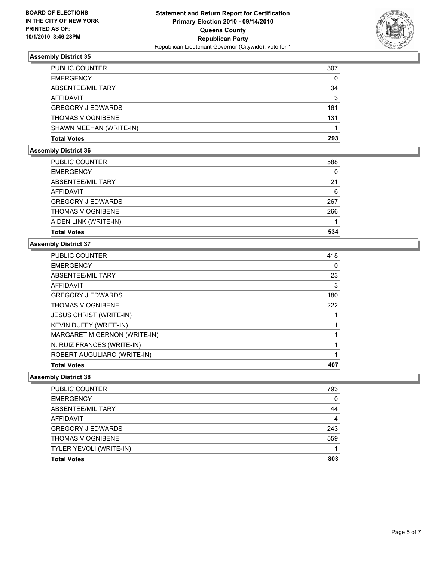

| <b>PUBLIC COUNTER</b>    | 307 |
|--------------------------|-----|
| <b>EMERGENCY</b>         | 0   |
| ABSENTEE/MILITARY        | 34  |
| AFFIDAVIT                | 3   |
| <b>GREGORY J EDWARDS</b> | 161 |
| <b>THOMAS V OGNIBENE</b> | 131 |
| SHAWN MEEHAN (WRITE-IN)  |     |
| <b>Total Votes</b>       | 293 |

## **Assembly District 36**

| <b>Total Votes</b>       | 534 |
|--------------------------|-----|
|                          |     |
| AIDEN LINK (WRITE-IN)    |     |
| <b>THOMAS V OGNIBENE</b> | 266 |
| <b>GREGORY J EDWARDS</b> | 267 |
| <b>AFFIDAVIT</b>         | 6   |
| ABSENTEE/MILITARY        | 21  |
| <b>EMERGENCY</b>         | 0   |
| PUBLIC COUNTER           | 588 |
|                          |     |

## **Assembly District 37**

| <b>Total Votes</b>             | 407 |
|--------------------------------|-----|
| ROBERT AUGULIARO (WRITE-IN)    |     |
| N. RUIZ FRANCES (WRITE-IN)     |     |
| MARGARET M GERNON (WRITE-IN)   |     |
| <b>KEVIN DUFFY (WRITE-IN)</b>  |     |
| <b>JESUS CHRIST (WRITE-IN)</b> |     |
| <b>THOMAS V OGNIBENE</b>       | 222 |
| <b>GREGORY J EDWARDS</b>       | 180 |
| AFFIDAVIT                      | 3   |
| ABSENTEE/MILITARY              | 23  |
| <b>EMERGENCY</b>               | 0   |
| <b>PUBLIC COUNTER</b>          | 418 |

| PUBLIC COUNTER           | 793 |
|--------------------------|-----|
| <b>EMERGENCY</b>         | 0   |
| ABSENTEE/MILITARY        | 44  |
| <b>AFFIDAVIT</b>         | 4   |
| <b>GREGORY J EDWARDS</b> | 243 |
| <b>THOMAS V OGNIBENE</b> | 559 |
| TYLER YEVOLI (WRITE-IN)  |     |
| <b>Total Votes</b>       | 803 |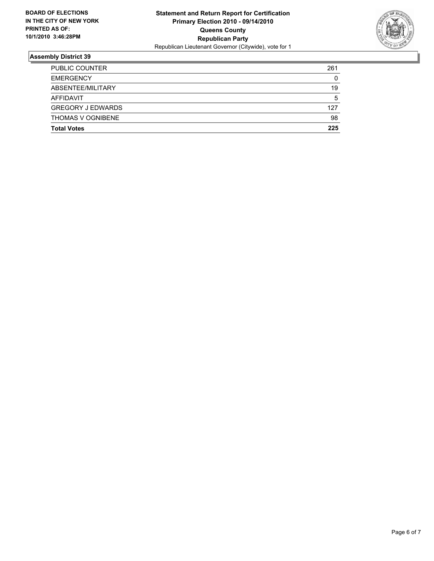

| <b>PUBLIC COUNTER</b>    | 261 |
|--------------------------|-----|
| <b>EMERGENCY</b>         | 0   |
| ABSENTEE/MILITARY        | 19  |
| AFFIDAVIT                | 5   |
| <b>GREGORY J EDWARDS</b> | 127 |
| <b>THOMAS V OGNIBENE</b> | 98  |
| <b>Total Votes</b>       | 225 |